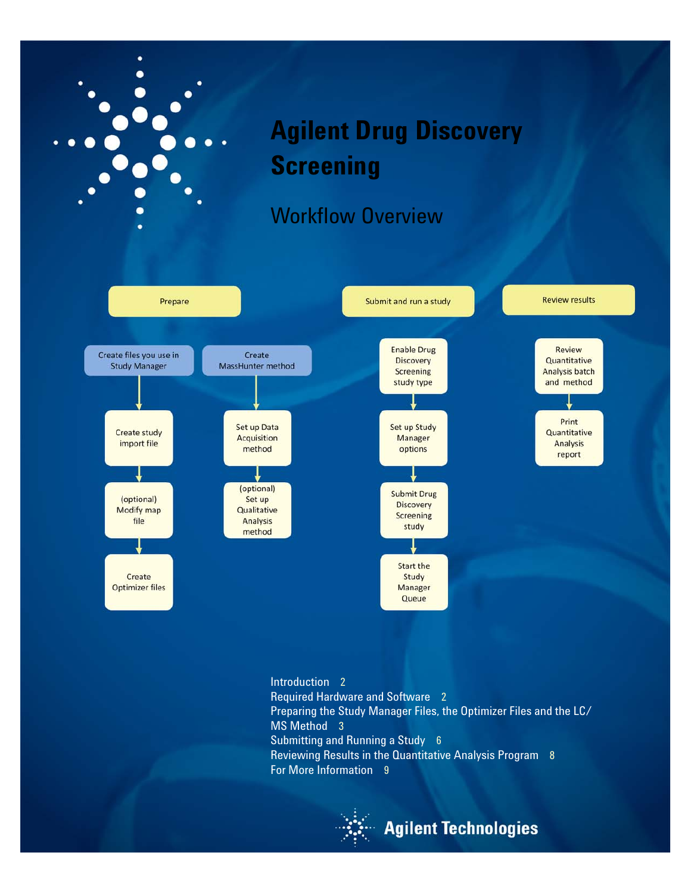

[Introduction](#page-1-0) 2 [Required Hardware and Software](#page-1-1) 2 [Preparing the Study Manager Files, the Optimizer Files and the LC/](#page-2-0) [MS Method](#page-2-0) 3 [Submitting and Running a Study](#page-5-0) 6 [Reviewing Results in the Quantitative Analysis Program](#page-7-0) 8 [For More Information](#page-8-0) 9



## **Agilent Technologies**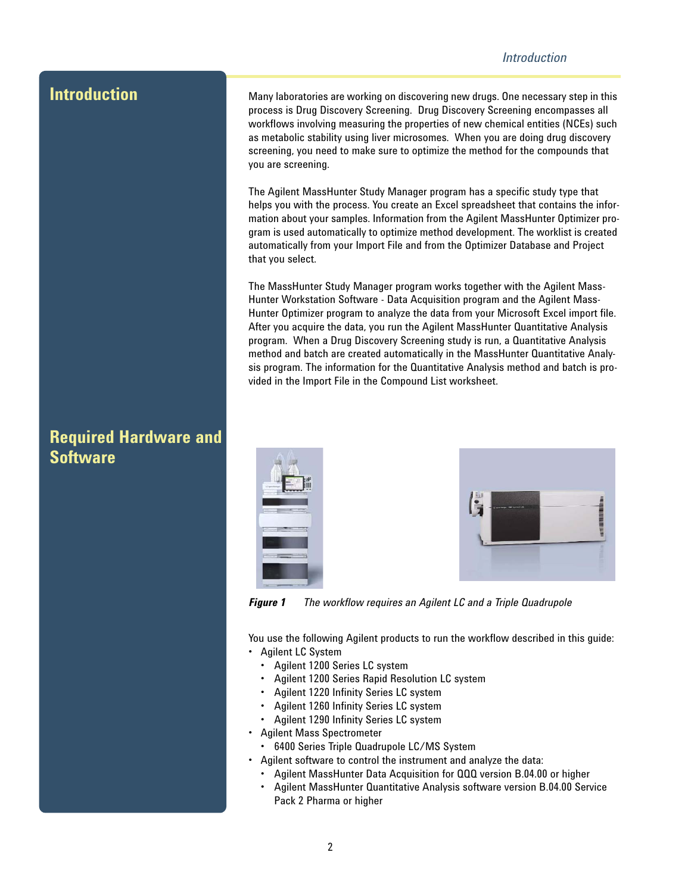#### *Introduction*

<span id="page-1-0"></span>**Introduction** Many laboratories are working on discovering new drugs. One necessary step in this process is Drug Discovery Screening. Drug Discovery Screening encompasses all workflows involving measuring the properties of new chemical entities (NCEs) such as metabolic stability using liver microsomes. When you are doing drug discovery screening, you need to make sure to optimize the method for the compounds that you are screening.

> The Agilent MassHunter Study Manager program has a specific study type that helps you with the process. You create an Excel spreadsheet that contains the information about your samples. Information from the Agilent MassHunter Optimizer program is used automatically to optimize method development. The worklist is created automatically from your Import File and from the Optimizer Database and Project that you select.

> The MassHunter Study Manager program works together with the Agilent Mass-Hunter Workstation Software - Data Acquisition program and the Agilent Mass-Hunter Optimizer program to analyze the data from your Microsoft Excel import file. After you acquire the data, you run the Agilent MassHunter Quantitative Analysis program. When a Drug Discovery Screening study is run, a Quantitative Analysis method and batch are created automatically in the MassHunter Quantitative Analysis program. The information for the Quantitative Analysis method and batch is provided in the Import File in the Compound List worksheet.





*Figure 1 The workflow requires an Agilent LC and a Triple Quadrupole*

You use the following Agilent products to run the workflow described in this guide: • Agilent LC System

- Agilent 1200 Series LC system
- Agilent 1200 Series Rapid Resolution LC system
- Agilent 1220 Infinity Series LC system
- Agilent 1260 Infinity Series LC system
- Agilent 1290 Infinity Series LC system
- Agilent Mass Spectrometer
- 6400 Series Triple Quadrupole LC/MS System
- Agilent software to control the instrument and analyze the data:
- Agilent MassHunter Data Acquisition for QQQ version B.04.00 or higher
- Agilent MassHunter Quantitative Analysis software version B.04.00 Service Pack 2 Pharma or higher

#### <span id="page-1-1"></span>**Required Hardware and Software**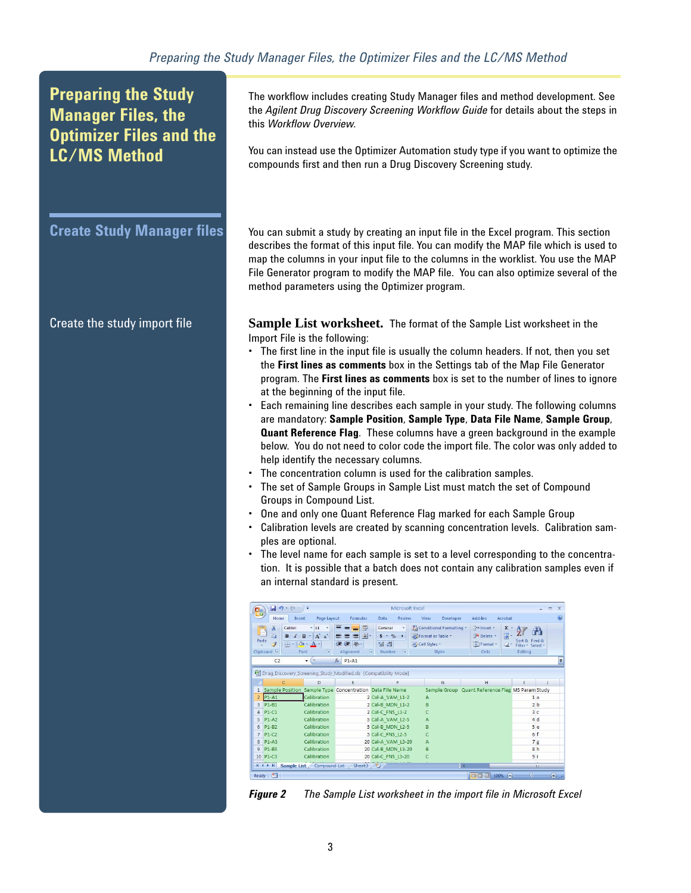### <span id="page-2-0"></span>**Preparing the Study Manager Files, the Optimizer Files and the LC/MS Method**

<span id="page-2-1"></span>

The workflow includes creating Study Manager files and method development. See the *Agilent Drug Discovery Screening Workflow Guide* for details about the steps in this *Workflow Overview*.

You can instead use the Optimizer Automation study type if you want to optimize the compounds first and then run a Drug Discovery Screening study.

**Create Study Manager files** You can submit a study by creating an input file in the Excel program. This section describes the format of this input file. You can modify the MAP file which is used to map the columns in your input file to the columns in the worklist. You use the MAP File Generator program to modify the MAP file. You can also optimize several of the method parameters using the Optimizer program.

Create the study import file **Sample List worksheet.** The format of the Sample List worksheet in the Import File is the following:

- The first line in the input file is usually the column headers. If not, then you set the **First lines as comments** box in the Settings tab of the Map File Generator program. The **First lines as comments** box is set to the number of lines to ignore at the beginning of the input file.
- Each remaining line describes each sample in your study. The following columns are mandatory: **Sample Position**, **Sample Type**, **Data File Name**, **Sample Group**, **Quant Reference Flag**. These columns have a green background in the example below. You do not need to color code the import file. The color was only added to help identify the necessary columns.
- The concentration column is used for the calibration samples.
- The set of Sample Groups in Sample List must match the set of Compound Groups in Compound List.
- One and only one Quant Reference Flag marked for each Sample Group
- Calibration levels are created by scanning concentration levels. Calibration samples are optional.
- The level name for each sample is set to a level corresponding to the concentration. It is possible that a batch does not contain any calibration samples even if an internal standard is present.

| Ch             |                                       | $-9 - (4 - 7) =$                                    |                                                                                         |                                                                                              | Microsoft Excel                                                                        |                                  |                                  |                                                           |                             |                                               |                | $\mathbf{x}$<br>$\equiv$ |
|----------------|---------------------------------------|-----------------------------------------------------|-----------------------------------------------------------------------------------------|----------------------------------------------------------------------------------------------|----------------------------------------------------------------------------------------|----------------------------------|----------------------------------|-----------------------------------------------------------|-----------------------------|-----------------------------------------------|----------------|--------------------------|
|                | Home                                  | Insert                                              | Page Lavout                                                                             | Formulas                                                                                     | Review<br><b>Data</b>                                                                  | View                             | Developer                        | Add-Ins                                                   | Acrobat                     |                                               |                | $\overline{\mathbf{a}}$  |
| Paste          | ¥<br>晒<br>3<br>Clipboard <sup>5</sup> | Calibri<br>$B$ $I$<br>$  \cdot   \cdot A$ .<br>Font | $+11$<br>$\underline{U}$ - $\overrightarrow{A}$ $\overrightarrow{A}$<br>$\overline{12}$ | 昬<br>$\equiv \equiv$<br>품 돌 화<br>Ε<br><b>提建 ※-</b><br>$\overline{\mathbb{F}_M}$<br>Alignment | General<br>$S - \frac{9}{6}$ ,<br>$00.07 + 0.7$<br>$\overline{\mathbb{F}_2}$<br>Number | Format as Table *<br>Cell Styles | Conditional Formatting<br>Styles | da Insert -<br><sup>2</sup> Delete *<br>Format -<br>Cells | Σ<br>$\overline{a}$<br>$O-$ | Sort & Find &<br>Filter * Select *<br>Editina |                |                          |
|                | C <sub>2</sub>                        |                                                     | (m<br>$\checkmark$                                                                      | $f_x$ P <sub>1</sub> -A <sub>1</sub>                                                         |                                                                                        |                                  |                                  |                                                           |                             |                                               |                | ×                        |
|                |                                       |                                                     |                                                                                         |                                                                                              | Drug Discovery Screening Study Modified xls [Compatibility Mode]                       |                                  |                                  |                                                           |                             |                                               |                |                          |
|                |                                       | C                                                   | D                                                                                       | E                                                                                            | F                                                                                      |                                  | G                                | н                                                         |                             |                                               |                |                          |
|                |                                       |                                                     |                                                                                         |                                                                                              | 1 Sample Position Sample Type Concentration Data File Name                             |                                  |                                  | Sample Group Quant Reference Flag MS Param Study          |                             |                                               |                |                          |
| $\overline{2}$ | $P1-A1$                               |                                                     | Calibration                                                                             |                                                                                              | 2 Cal-A VAM L1-2                                                                       | A                                |                                  |                                                           |                             |                                               | 1a             |                          |
| 3              | P1-B1                                 |                                                     | Calibration                                                                             |                                                                                              | 2 Cal-B MDN L1-2                                                                       | B                                |                                  |                                                           |                             |                                               | 2 <sub>b</sub> |                          |
| 4              | $P1-C1$                               |                                                     | Calibration                                                                             |                                                                                              | 2 Cal-C FNS L1-2                                                                       |                                  |                                  |                                                           |                             |                                               | 3c             |                          |
| 5              | $P1-A2$                               |                                                     | Calibration                                                                             |                                                                                              | 5 Cal-A VAM L2-5                                                                       | A                                |                                  |                                                           |                             | 4d                                            |                |                          |
| 6              | $P1-B2$                               |                                                     | Calibration                                                                             |                                                                                              | 5 Cal-B MDN L2-5                                                                       | B                                |                                  |                                                           |                             |                                               | 5e             |                          |
| $\overline{7}$ | $P1-C2$                               |                                                     | Calibration                                                                             |                                                                                              | 5 Cal-C FNS L2-5                                                                       | Ċ                                |                                  |                                                           |                             | 6 f                                           |                |                          |
| 8              | $P1-A3$                               |                                                     | Calibration                                                                             |                                                                                              | 20 Cal-A VAM L3-20                                                                     | A                                |                                  |                                                           |                             |                                               | 7g             |                          |
| 9              | P1-B3                                 |                                                     | Calibration                                                                             |                                                                                              | 20 Cal-B MDN L3-20                                                                     | B                                |                                  |                                                           |                             |                                               | 8h             |                          |
|                | 10 P1-C3                              |                                                     | Calibration                                                                             |                                                                                              | 20 Cal-C FNS L3-20                                                                     |                                  |                                  |                                                           |                             | 9 <sub>i</sub>                                |                |                          |
|                | $H$ 4 $H$ $H$                         |                                                     | Sample List Compound List                                                               | Sheet3 2                                                                                     |                                                                                        |                                  |                                  | пη                                                        |                             |                                               | m              |                          |
| Ready          | 囗                                     |                                                     |                                                                                         |                                                                                              |                                                                                        |                                  |                                  | <b>BOD</b>                                                | $\Theta$<br>100%            | o                                             |                | $\bigoplus$ .:           |

*Figure 2 The Sample List worksheet in the import file in Microsoft Excel*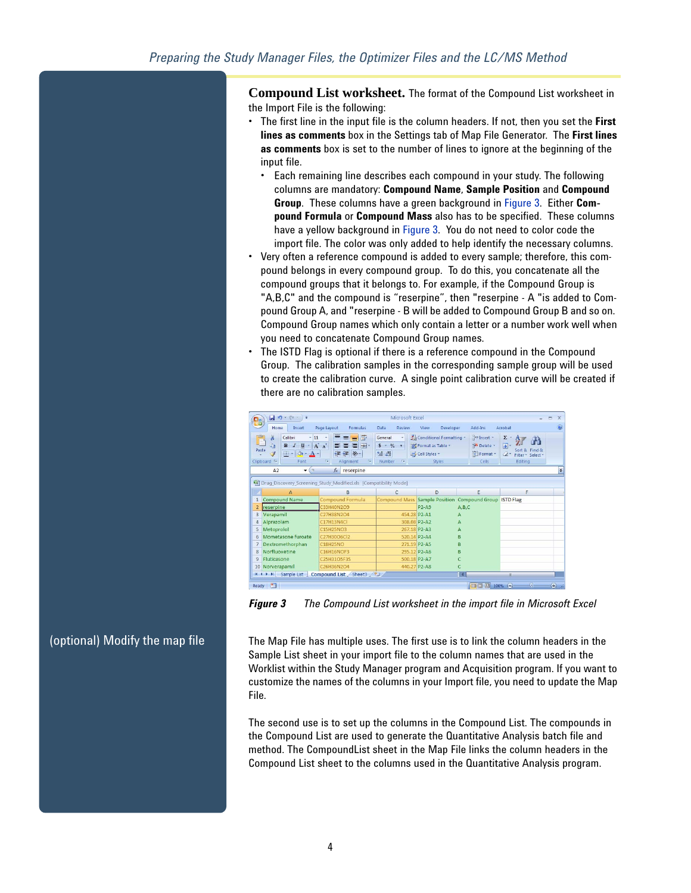**Compound List worksheet.** The format of the Compound List worksheet in the Import File is the following:

- The first line in the input file is the column headers. If not, then you set the **First lines as comments** box in the Settings tab of Map File Generator. The **First lines as comments** box is set to the number of lines to ignore at the beginning of the input file.
	- Each remaining line describes each compound in your study. The following columns are mandatory: **Compound Name**, **Sample Position** and **Compound Group**. These columns have a green background in [Figure](#page-3-0) 3. Either **Compound Formula** or **Compound Mass** also has to be specified. These columns have a yellow background in [Figure](#page-3-0) 3. You do not need to color code the import file. The color was only added to help identify the necessary columns.
- Very often a reference compound is added to every sample; therefore, this compound belongs in every compound group. To do this, you concatenate all the compound groups that it belongs to. For example, if the Compound Group is "A,B,C" and the compound is "reserpine", then "reserpine - A "is added to Compound Group A, and "reserpine - B will be added to Compound Group B and so on. Compound Group names which only contain a letter or a number work well when you need to concatenate Compound Group names.
- The ISTD Flag is optional if there is a reference compound in the Compound Group. The calibration samples in the corresponding sample group will be used to create the calibration curve. A single point calibration curve will be created if there are no calibration samples.

| ٦.,            | $-9 - (4 - 7)$                                                                                                                                          |                                                                                                         | Microsoft Excel                                                                           |                                                                        |                                                         |                                                                                                            | $\mathbf x$<br>$\equiv$             |
|----------------|---------------------------------------------------------------------------------------------------------------------------------------------------------|---------------------------------------------------------------------------------------------------------|-------------------------------------------------------------------------------------------|------------------------------------------------------------------------|---------------------------------------------------------|------------------------------------------------------------------------------------------------------------|-------------------------------------|
|                | Home<br>Insert                                                                                                                                          | Page Lavout<br>Formulas                                                                                 | Data<br><b>Review</b>                                                                     | Developer<br>View                                                      | Add-Ins                                                 | Acrobat                                                                                                    |                                     |
| Paste          | ¥<br>Calibri<br>$-11$<br>G)<br>$I$ U<br>B<br>$\left  \mathbf{v}_i \right $<br>Í<br>$\mathbb{B}$ - $\infty$ -<br>$A -$<br>Clipboard <sup>5</sup><br>Font | 壽<br>$\equiv$<br>$=$<br>$A^*$ $A^*$<br>看 困~<br>国事<br><b>建建 》</b><br>Fa.<br>$\overline{19}$<br>Alignment | General<br>٠<br>$S - \frac{9}{6}$ ,<br>$^{00}_{6+}$ $^{00}_{6+}$<br>$\sqrt{12}$<br>Number | Conditional Formatting -<br>Format as Table *<br>Cell Styles<br>Styles | Fainsert *<br><sup>SM</sup> Delete<br>Format *<br>Cells | $\pmb{\Sigma}$<br>$\overline{\bullet}$<br>Sort & Find &<br>$\mathcal{Q}$ -<br>Filter * Select *<br>Editing |                                     |
|                | A2<br><b>COL</b><br>۰                                                                                                                                   | $f_x$ reserpine                                                                                         |                                                                                           |                                                                        |                                                         |                                                                                                            | ¥                                   |
|                | Drug Discovery Screening Study Modified.xls [Compatibility Mode]                                                                                        |                                                                                                         |                                                                                           |                                                                        |                                                         |                                                                                                            |                                     |
|                | A                                                                                                                                                       | B                                                                                                       | C                                                                                         | D                                                                      | E                                                       | F                                                                                                          |                                     |
| $\mathbf{1}$   | <b>Compound Name</b>                                                                                                                                    | Compound Formula                                                                                        |                                                                                           |                                                                        | Compound Mass Sample Position Compound Group ISTD Flag  |                                                                                                            |                                     |
| $\overline{2}$ | reserpine                                                                                                                                               | C33H40N2O9                                                                                              |                                                                                           | $P2-A9$                                                                | A.B.C                                                   |                                                                                                            |                                     |
| $\overline{3}$ | Verapamil                                                                                                                                               | C27H38N2O4                                                                                              | 454.28 P2-A1                                                                              |                                                                        | Δ                                                       |                                                                                                            |                                     |
| 4              | Alprazolam                                                                                                                                              | C17H13N4Cl                                                                                              | 308.08 P2-A2                                                                              |                                                                        | A                                                       |                                                                                                            |                                     |
| 5              | Metoprolol                                                                                                                                              | C15H25NO3                                                                                               |                                                                                           | 267.18 P2-A3                                                           |                                                         |                                                                                                            |                                     |
| 6              | Mometasone furoate                                                                                                                                      | C27H30O6Cl2                                                                                             | 520.14 P2-A4                                                                              |                                                                        | в                                                       |                                                                                                            |                                     |
| $\overline{7}$ | Dextromethorphan                                                                                                                                        | <b>C18H25NO</b>                                                                                         | 271.19 P2-A5                                                                              |                                                                        | B                                                       |                                                                                                            |                                     |
| 8              | Norfluoxetine                                                                                                                                           | <b>C16H16NOF3</b>                                                                                       | 295.12 P2-A6                                                                              |                                                                        | R                                                       |                                                                                                            |                                     |
| 9              | <b>Fluticasone</b>                                                                                                                                      | C25H31O5F3S                                                                                             | 500.18 P2-A7                                                                              |                                                                        |                                                         |                                                                                                            |                                     |
|                | 10 Norverapamil                                                                                                                                         | C26H36N2O4                                                                                              | 440.27 P2-A8                                                                              |                                                                        |                                                         |                                                                                                            |                                     |
|                | $H$ $H$ $H$ $H$<br>Sample List                                                                                                                          | Compound List Sheet3                                                                                    |                                                                                           |                                                                        | п                                                       | <b>III</b>                                                                                                 |                                     |
| Ready          | 膈                                                                                                                                                       |                                                                                                         |                                                                                           |                                                                        | 田回凹 100% (一)                                            | Ū                                                                                                          | $\bigoplus$<br>$\overrightarrow{a}$ |

<span id="page-3-0"></span>*Figure 3 The Compound List worksheet in the import file in Microsoft Excel* 

(optional) Modify the map file The Map File has multiple uses. The first use is to link the column headers in the Sample List sheet in your import file to the column names that are used in the Worklist within the Study Manager program and Acquisition program. If you want to customize the names of the columns in your Import file, you need to update the Map File.

> The second use is to set up the columns in the Compound List. The compounds in the Compound List are used to generate the Quantitative Analysis batch file and method. The CompoundList sheet in the Map File links the column headers in the Compound List sheet to the columns used in the Quantitative Analysis program.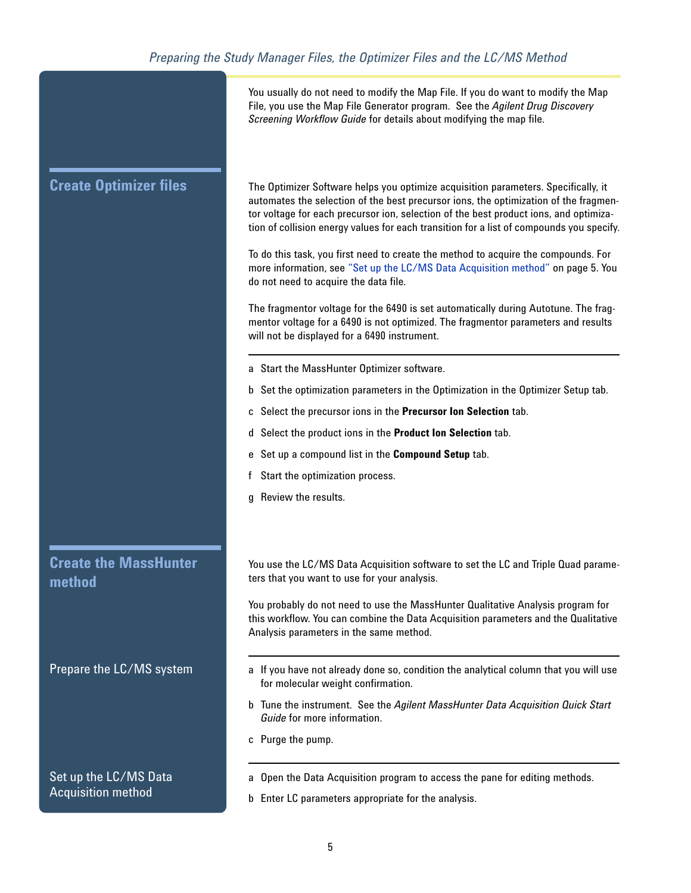<span id="page-4-0"></span>

|                                        | You usually do not need to modify the Map File. If you do want to modify the Map<br>File, you use the Map File Generator program. See the Agilent Drug Discovery<br>Screening Workflow Guide for details about modifying the map file.                                                                                                                          |
|----------------------------------------|-----------------------------------------------------------------------------------------------------------------------------------------------------------------------------------------------------------------------------------------------------------------------------------------------------------------------------------------------------------------|
| <b>Create Optimizer files</b>          | The Optimizer Software helps you optimize acquisition parameters. Specifically, it<br>automates the selection of the best precursor ions, the optimization of the fragmen-<br>tor voltage for each precursor ion, selection of the best product ions, and optimiza-<br>tion of collision energy values for each transition for a list of compounds you specify. |
|                                        | To do this task, you first need to create the method to acquire the compounds. For<br>more information, see "Set up the LC/MS Data Acquisition method" on page 5. You<br>do not need to acquire the data file.                                                                                                                                                  |
|                                        | The fragmentor voltage for the 6490 is set automatically during Autotune. The frag-<br>mentor voltage for a 6490 is not optimized. The fragmentor parameters and results<br>will not be displayed for a 6490 instrument.                                                                                                                                        |
|                                        | a Start the MassHunter Optimizer software.                                                                                                                                                                                                                                                                                                                      |
|                                        | b Set the optimization parameters in the Optimization in the Optimizer Setup tab.                                                                                                                                                                                                                                                                               |
|                                        | c Select the precursor ions in the Precursor Ion Selection tab.                                                                                                                                                                                                                                                                                                 |
|                                        | d Select the product ions in the Product Ion Selection tab.                                                                                                                                                                                                                                                                                                     |
|                                        | e Set up a compound list in the Compound Setup tab.                                                                                                                                                                                                                                                                                                             |
|                                        | Start the optimization process.                                                                                                                                                                                                                                                                                                                                 |
|                                        | g Review the results.                                                                                                                                                                                                                                                                                                                                           |
|                                        |                                                                                                                                                                                                                                                                                                                                                                 |
| <b>Create the MassHunter</b><br>method | You use the LC/MS Data Acquisition software to set the LC and Triple Quad parame-<br>ters that you want to use for your analysis.                                                                                                                                                                                                                               |
|                                        | You probably do not need to use the MassHunter Qualitative Analysis program for<br>this workflow. You can combine the Data Acquisition parameters and the Qualitative<br>Analysis parameters in the same method.                                                                                                                                                |
| Prepare the LC/MS system               | a If you have not already done so, condition the analytical column that you will use<br>for molecular weight confirmation.                                                                                                                                                                                                                                      |
|                                        | b Tune the instrument. See the Agilent MassHunter Data Acquisition Quick Start<br>Guide for more information.                                                                                                                                                                                                                                                   |
|                                        | c Purge the pump.                                                                                                                                                                                                                                                                                                                                               |
| Set up the LC/MS Data                  | a Open the Data Acquisition program to access the pane for editing methods.                                                                                                                                                                                                                                                                                     |
| <b>Acquisition method</b>              | b Enter LC parameters appropriate for the analysis.                                                                                                                                                                                                                                                                                                             |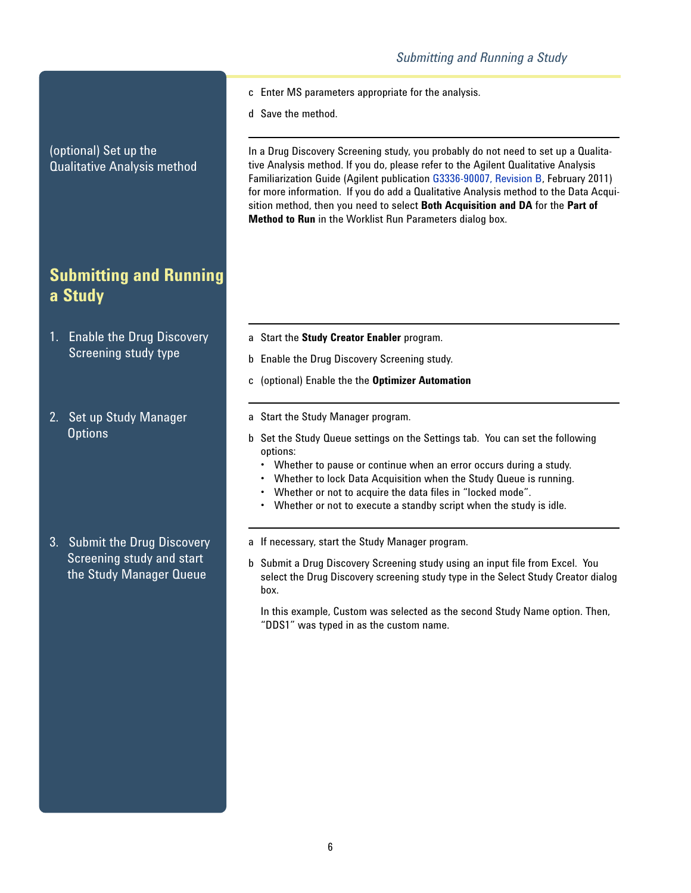- c Enter MS parameters appropriate for the analysis.
	- d Save the method.

In a Drug Discovery Screening study, you probably do not need to set up a Qualitative Analysis method. If you do, please refer to the Agilent Qualitative Analysis Familiarization Guide (Agilent publication G3336-90007, Revision B, February 2011) for more information. If you do add a Qualitative Analysis method to the Data Acquisition method, then you need to select **Both Acquisition and DA** for the **Part of Method to Run** in the Worklist Run Parameters dialog box.

- a Start the **Study Creator Enabler** program.
- b Enable the Drug Discovery Screening study.
- c (optional) Enable the the **Optimizer Automation**
- a Start the Study Manager program.
- b Set the Study Queue settings on the Settings tab. You can set the following options:
	- Whether to pause or continue when an error occurs during a study.
	- Whether to lock Data Acquisition when the Study Queue is running.
	- Whether or not to acquire the data files in "locked mode".
	- Whether or not to execute a standby script when the study is idle.
- a If necessary, start the Study Manager program.
- b Submit a Drug Discovery Screening study using an input file from Excel. You select the Drug Discovery screening study type in the Select Study Creator dialog box.

In this example, Custom was selected as the second Study Name option. Then, "DDS1" was typed in as the custom name.

(optional) Set up the Qualitative Analysis method

### <span id="page-5-0"></span>**Submitting and Running a Study**

- 1. Enable the Drug Discovery Screening study type
- 2. Set up Study Manager **Options**

3. Submit the Drug Discovery Screening study and start the Study Manager Queue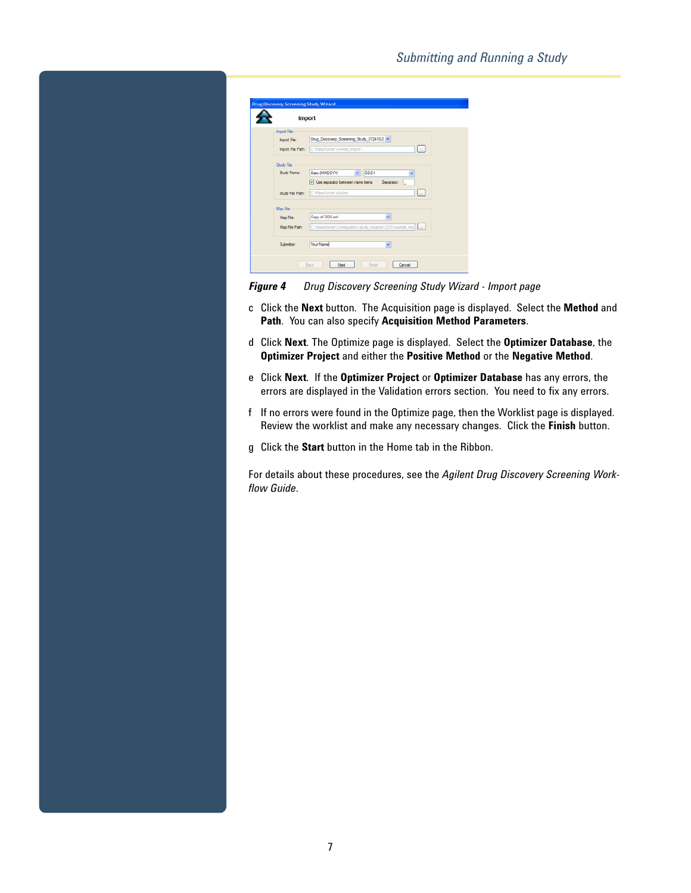|                                         | <b>Import</b>                                                                  |
|-----------------------------------------|--------------------------------------------------------------------------------|
| <b>Import File</b>                      |                                                                                |
| Import File:                            | Drug_Discovery_Screening_Study_072410-2 ~                                      |
|                                         | $\overline{\phantom{a}}$<br>Import File Path: C:\MassHunter\worklist_import\   |
|                                         |                                                                                |
| Study File                              |                                                                                |
| Study Name:                             | Date (MMDDYY)<br>DDS1                                                          |
|                                         | Use separator between name items Separator:                                    |
| Study File Path:                        | C:\MassHunter\studes<br>پ                                                      |
| Map File<br>Map File:<br>Map File Path: | Copy of DDS xml<br>C:\MassHunter\Configuration\atudy_creators\DDS\worklist_imp |
| Submitter:                              | Your Name                                                                      |

*Figure 4 Drug Discovery Screening Study Wizard - Import page*

- c Click the **Next** button. The Acquisition page is displayed. Select the **Method** and **Path**. You can also specify **Acquisition Method Parameters**.
- d Click **Next**. The Optimize page is displayed. Select the **Optimizer Database**, the **Optimizer Project** and either the **Positive Method** or the **Negative Method**.
- e Click **Next**. If the **Optimizer Project** or **Optimizer Database** has any errors, the errors are displayed in the Validation errors section. You need to fix any errors.
- f If no errors were found in the Optimize page, then the Worklist page is displayed. Review the worklist and make any necessary changes. Click the **Finish** button.
- g Click the **Start** button in the Home tab in the Ribbon.

For details about these procedures, see the *Agilent Drug Discovery Screening Workflow Guide*.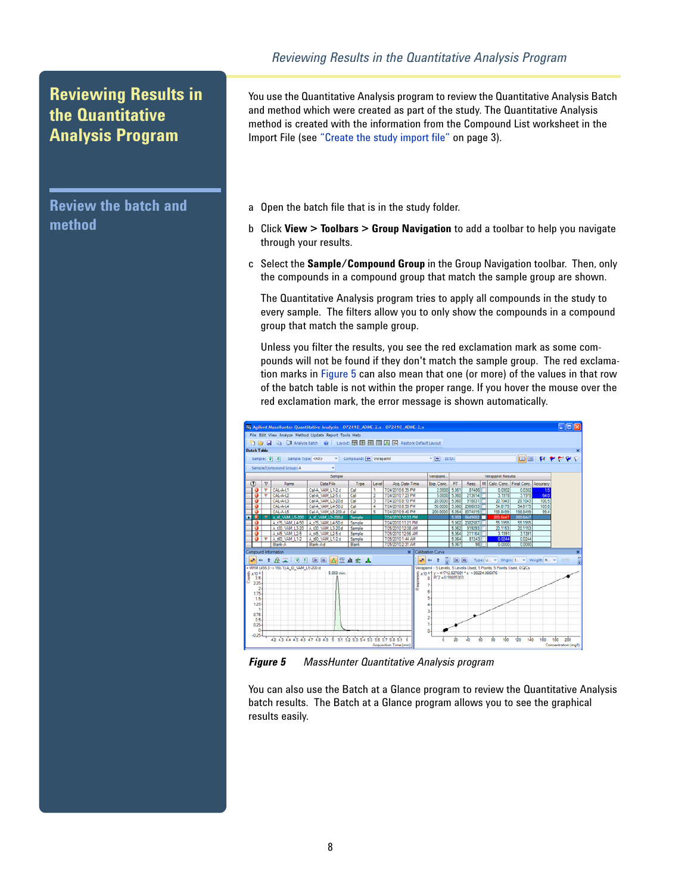### <span id="page-7-0"></span>**Reviewing Results in the Quantitative Analysis Program**

**Review the batch and method**

You use the Quantitative Analysis program to review the Quantitative Analysis Batch and method which were created as part of the study. The Quantitative Analysis method is created with the information from the Compound List worksheet in the Import File (see ["Create the study import file"](#page-2-1) on page 3).

- a Open the batch file that is in the study folder.
- b Click **View > Toolbars > Group Navigation** to add a toolbar to help you navigate through your results.
- c Select the **Sample/Compound Group** in the Group Navigation toolbar. Then, only the compounds in a compound group that match the sample group are shown.

The Quantitative Analysis program tries to apply all compounds in the study to every sample. The filters allow you to only show the compounds in a compound group that match the sample group.

Unless you filter the results, you see the red exclamation mark as some compounds will not be found if they don't match the sample group. The red exclamation marks in [Figure](#page-7-1) 5 can also mean that one (or more) of the values in that row of the batch table is not within the proper range. If you hover the mouse over the red exclamation mark, the error message is shown automatically.



<span id="page-7-1"></span>*Figure 5 MassHunter Quantitative Analysis program*

You can also use the Batch at a Glance program to review the Quantitative Analysis batch results. The Batch at a Glance program allows you to see the graphical results easily.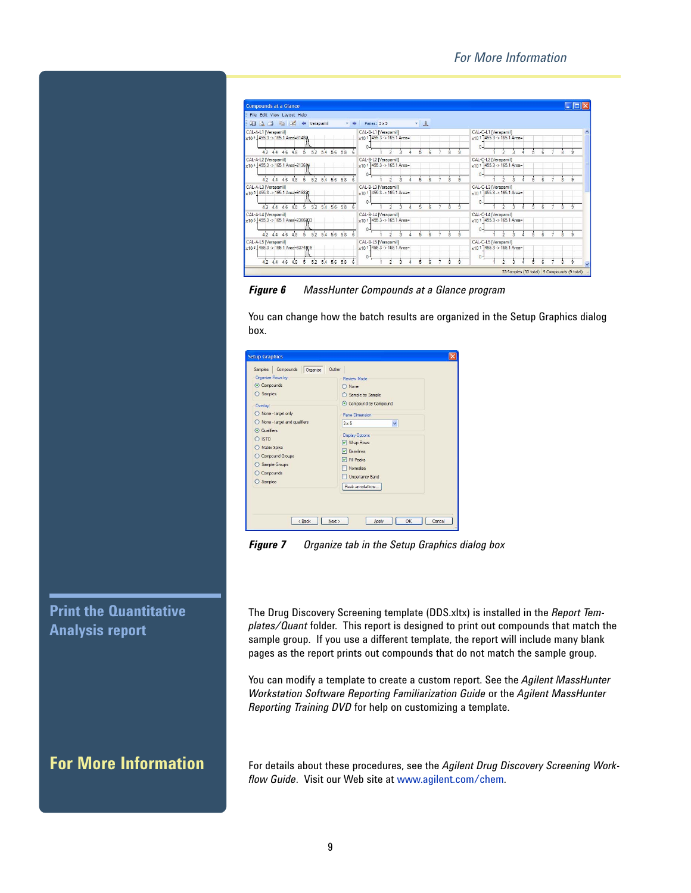| File Edit View Layout Help                                |                                                      |                                                                  |
|-----------------------------------------------------------|------------------------------------------------------|------------------------------------------------------------------|
| <b>Q A B H</b> $\leftrightarrow$ Verapamil<br>$-16$       | Panes: 3 x 5<br>$-1$                                 |                                                                  |
| CAL-A-L1 [Verapamil]<br>x104 455.3 -> 165.1 Area=81480    | CAL-B-L1 [Verapamil]<br>$x101$ 455.3 -> 165.1 Area=  | CAL-C-L1 [Verapamil]<br>$x101$ 455.3 -> 165.1 Area=              |
| 42444648<br>5 52 54 56 58                                 |                                                      | $\Omega$                                                         |
| CAL-A-L2 [Verapamil]<br>x104 455.3 -> 165.1 Area=213674   | CAL-B-L2 IVerapamil1<br>$x10$ 1 455.3 -> 165.1 Area= | CAL-C-L2 [Verapamil]<br>$x101$ <sup>1</sup> 455.3 -> 165.1 Area= |
| 42 44 46 48 5 52 54 56 58                                 | $0 -$                                                | $0 -$                                                            |
| CAL-A-L3 [Verapamil]<br>x10 5 455.3 -> 165.1 Area=918821  | CAL-B-L3 IVerapamil1<br>x10 1 455.3 -> 165.1 Area=   | CAL-C-L3 IVerapamil1<br>x10 1 455.3 -> 165.1 Area=               |
| 42 44 46 48 5 52 54 56 58                                 | $0 -$                                                | $0 -$                                                            |
| CAL-A-L4 [Verapamil]<br>x10 5 455.3 -> 165.1 Area=2366933 | CAL-B-L4 [Verapamil]<br>$x10$ 1 455.3 -> 165.1 Area= | CAL-C-L4 [Verapamil]<br>$x10^{-1}$ 455.3 -> 165.1 Area=          |
| 42 44 46 48 5 52 54 56 58                                 | $0 -$                                                | $\mathbf{0}$                                                     |
| CAL-A-L5 [Verapamil]<br>x10 6 455.3 -> 165.1 Area=8374815 | CAL-B-L5 (Verapamil)<br>$x101$ 1455.3 -> 165.1 Area= | CAL-C-L5 [Verapamil]<br>$x101$ <sup>1</sup> 455.3 -> 165.1 Area= |
| 42 44 46 48<br>5 52 54 56 58                              | $0 -$                                                | $\Omega$                                                         |

*Figure 6 MassHunter Compounds at a Glance program* 

You can change how the batch results are organized in the Setup Graphics dialog box.

*Figure 7 Organize tab in the Setup Graphics dialog box* 

#### **Print the Quantitative Analysis report**

The Drug Discovery Screening template (DDS.xltx) is installed in the *Report Templates/Quant* folder. This report is designed to print out compounds that match the sample group. If you use a different template, the report will include many blank pages as the report prints out compounds that do not match the sample group.

You can modify a template to create a custom report. See the *Agilent MassHunter Workstation Software Reporting Familiarization Guide* or the *Agilent MassHunter Reporting Training DVD* for help on customizing a template.

<span id="page-8-0"></span>**For More Information** For details about these procedures, see the *Agilent Drug Discovery Screening Workflow Guide*. Visit our Web site at [www.agilent.com/chem.](http://www.chem.agilent.com/en-US/Pages/Homepage.aspx)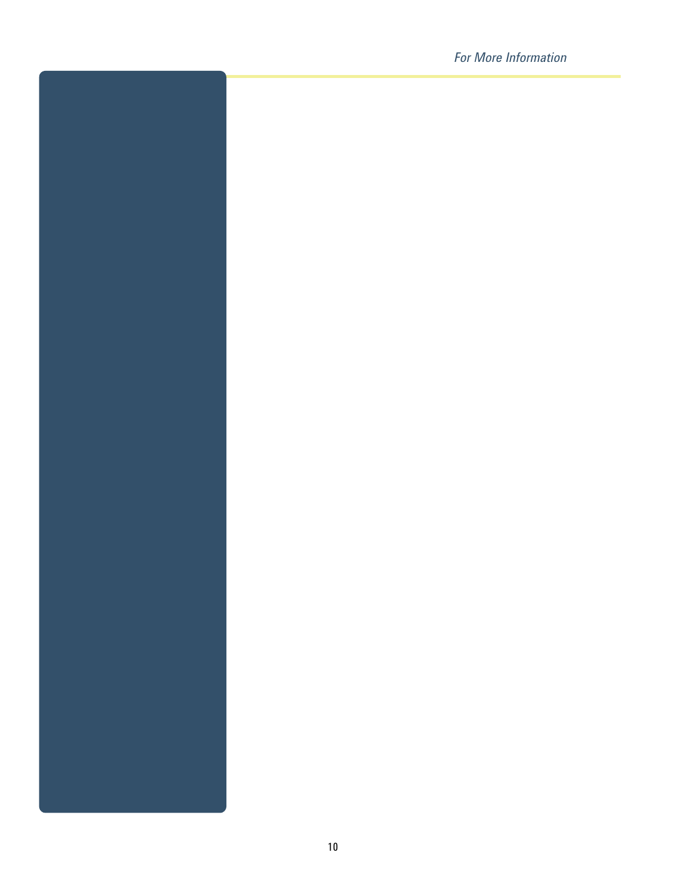